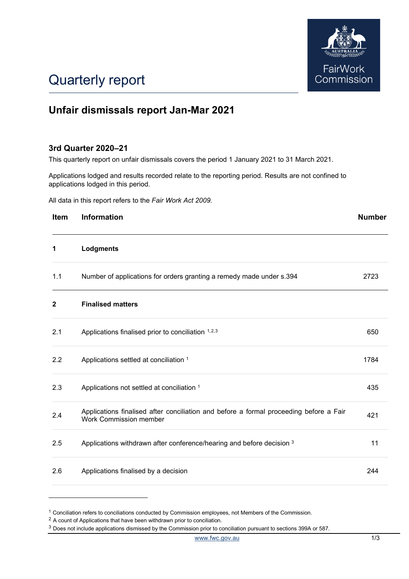

## Quarterly report

### **Unfair dismissals report Jan-Mar 2021**

### **3rd Quarter 2020–21**

This quarterly report on unfair dismissals covers the period 1 January 2021 to 31 March 2021.

Applications lodged and results recorded relate to the reporting period. Results are not confined to applications lodged in this period.

All data in this report refers to the *Fair Work Act 2009.*

| Item         | <b>Information</b>                                                                                               | <b>Number</b> |
|--------------|------------------------------------------------------------------------------------------------------------------|---------------|
| 1            | Lodgments                                                                                                        |               |
| 1.1          | Number of applications for orders granting a remedy made under s.394                                             | 2723          |
| $\mathbf{2}$ | <b>Finalised matters</b>                                                                                         |               |
| 2.1          | Applications finalised prior to conciliation 1,2,3                                                               | 650           |
| 2.2          | Applications settled at conciliation 1                                                                           | 1784          |
| 2.3          | Applications not settled at conciliation 1                                                                       | 435           |
| 2.4          | Applications finalised after conciliation and before a formal proceeding before a Fair<br>Work Commission member | 421           |
| 2.5          | Applications withdrawn after conference/hearing and before decision 3                                            | 11            |
| 2.6          | Applications finalised by a decision                                                                             | 244           |

<sup>&</sup>lt;sup>1</sup> Conciliation refers to conciliations conducted by Commission employees, not Members of the Commission.

<span id="page-0-1"></span><span id="page-0-0"></span><sup>2</sup> A count of Applications that have been withdrawn prior to conciliation.

<span id="page-0-2"></span><sup>3</sup> Does not include applications dismissed by the Commission prior to conciliation pursuant to sections 399A or 587.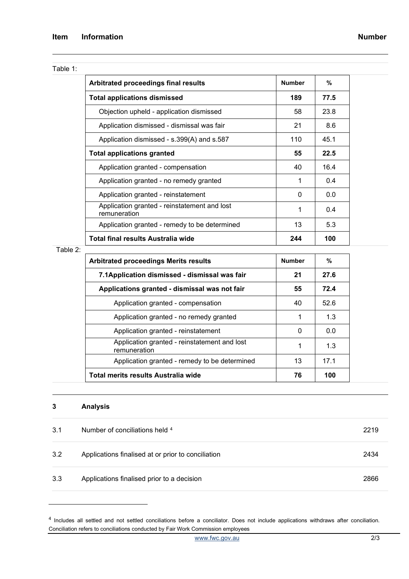| able |  |
|------|--|
|------|--|

| Arbitrated proceedings final results                         | <b>Number</b> | %    |
|--------------------------------------------------------------|---------------|------|
| <b>Total applications dismissed</b>                          | 189           | 77.5 |
| Objection upheld - application dismissed                     | 58            | 23.8 |
| Application dismissed - dismissal was fair                   | 21            | 8.6  |
| Application dismissed - s.399(A) and s.587                   | 110           | 45.1 |
| <b>Total applications granted</b>                            | 55            | 22.5 |
| Application granted - compensation                           | 40            | 16.4 |
| Application granted - no remedy granted                      | 1             | 0.4  |
| Application granted - reinstatement                          | 0             | 0.0  |
| Application granted - reinstatement and lost<br>remuneration | 1             | 0.4  |
| Application granted - remedy to be determined                | 13            | 5.3  |
| Total final results Australia wide                           | 244           | 100  |

Table 2:

| <b>Arbitrated proceedings Merits results</b>                 | <b>Number</b> | %    |
|--------------------------------------------------------------|---------------|------|
| 7.1Application dismissed - dismissal was fair                | 21            | 27.6 |
| Applications granted - dismissal was not fair                | 55            | 72.4 |
| Application granted - compensation                           | 40            | 52.6 |
| Application granted - no remedy granted                      |               | 1.3  |
| Application granted - reinstatement                          | 0             | 0.0  |
| Application granted - reinstatement and lost<br>remuneration | 1             | 1.3  |
| Application granted - remedy to be determined                | 13            | 17.1 |
| Total merits results Australia wide                          | 76            | 100  |

# **3 Analysis**

| 3.1 | Number of conciliations held 4                     | 2219 |
|-----|----------------------------------------------------|------|
| 3.2 | Applications finalised at or prior to conciliation | 2434 |
| 3.3 | Applications finalised prior to a decision         | 2866 |

<span id="page-1-0"></span><sup>4</sup> Includes all settled and not settled conciliations before a conciliator. Does not include applications withdraws after conciliation. Conciliation refers to conciliations conducted by Fair Work Commission employees